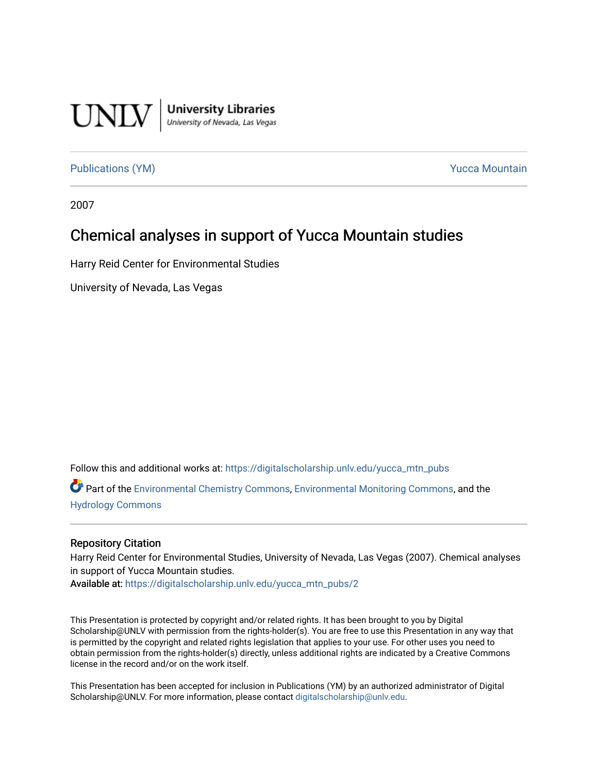

**University Libraries**<br>University of Nevada, Las Vegas

#### [Publications \(YM\)](https://digitalscholarship.unlv.edu/yucca_mtn_pubs) **Publications** (YM) **Publications** (YM)

2007

#### Chemical analyses in support of Yucca Mountain studies

Harry Reid Center for Environmental Studies

University of Nevada, Las Vegas

Follow this and additional works at: [https://digitalscholarship.unlv.edu/yucca\\_mtn\\_pubs](https://digitalscholarship.unlv.edu/yucca_mtn_pubs?utm_source=digitalscholarship.unlv.edu%2Fyucca_mtn_pubs%2F2&utm_medium=PDF&utm_campaign=PDFCoverPages)

Part of the [Environmental Chemistry Commons](http://network.bepress.com/hgg/discipline/134?utm_source=digitalscholarship.unlv.edu%2Fyucca_mtn_pubs%2F2&utm_medium=PDF&utm_campaign=PDFCoverPages), [Environmental Monitoring Commons,](http://network.bepress.com/hgg/discipline/931?utm_source=digitalscholarship.unlv.edu%2Fyucca_mtn_pubs%2F2&utm_medium=PDF&utm_campaign=PDFCoverPages) and the [Hydrology Commons](http://network.bepress.com/hgg/discipline/1054?utm_source=digitalscholarship.unlv.edu%2Fyucca_mtn_pubs%2F2&utm_medium=PDF&utm_campaign=PDFCoverPages)

#### Repository Citation

Harry Reid Center for Environmental Studies, University of Nevada, Las Vegas (2007). Chemical analyses in support of Yucca Mountain studies.

Available at: [https://digitalscholarship.unlv.edu/yucca\\_mtn\\_pubs/2](https://digitalscholarship.unlv.edu/yucca_mtn_pubs/2)

This Presentation is protected by copyright and/or related rights. It has been brought to you by Digital Scholarship@UNLV with permission from the rights-holder(s). You are free to use this Presentation in any way that is permitted by the copyright and related rights legislation that applies to your use. For other uses you need to obtain permission from the rights-holder(s) directly, unless additional rights are indicated by a Creative Commons license in the record and/or on the work itself.

This Presentation has been accepted for inclusion in Publications (YM) by an authorized administrator of Digital Scholarship@UNLV. For more information, please contact [digitalscholarship@unlv.edu.](mailto:digitalscholarship@unlv.edu)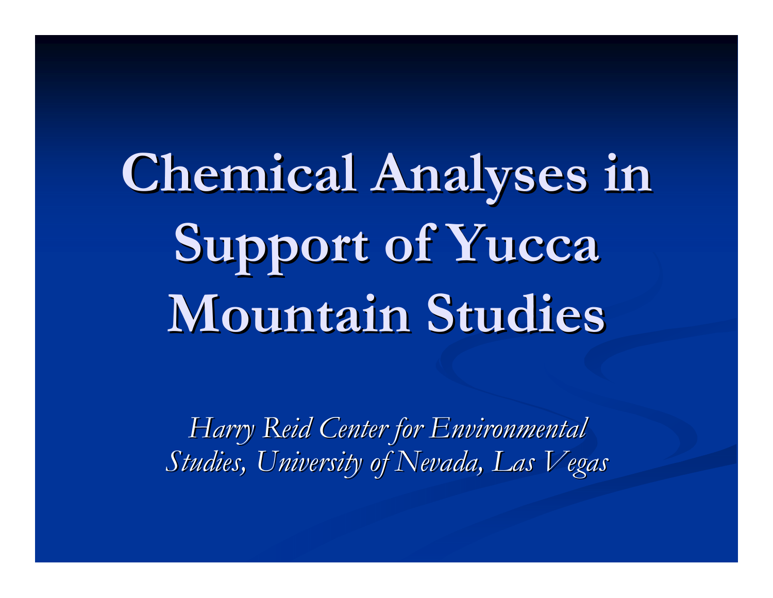**Chemical Analyses in** Support of Yucca **Mountain Studies Mountain Studies**

*Harry Reid Center for Environmental Harry Reid Center for Environmental Studies, University of Nevada, Las Vegas Studies, University of Nevada, Las Vegas*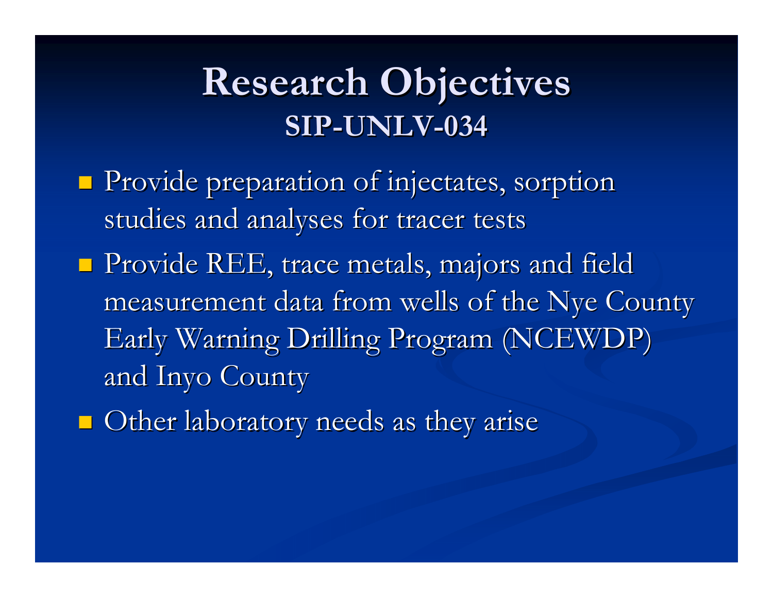# **Research Objectives Research Objectives SIP-UNLV-034**

- **Provide preparation of injectates, sorption** studies and analyses for tracer tests
- $\blacksquare$  Provide REE, trace metals, majors and field measurement data from wells of the Nye County measurement data from wells of the Nye County Early Warning Drilling Program (NCEWDP) Early Warning Drilling Program (NCEWDP) and Inyo County and Inyo County
- $\blacksquare$  Other laboratory needs as they arise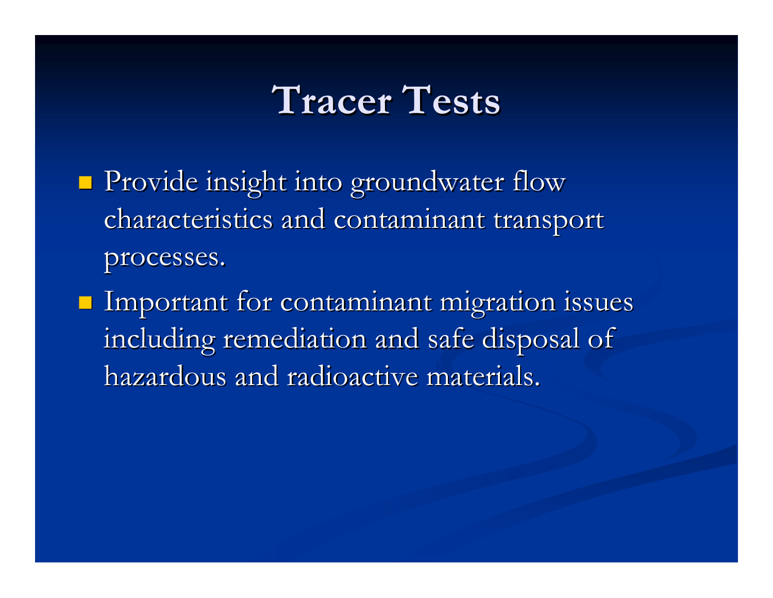## **Tracer Tests Tracer Tests**

- $\blacksquare$  Provide insight into groundwater flow characteristics and contaminant transport processes. processes.
- $\blacksquare$  Important for contaminant migration issues including remediation and safe disposal of hazardous and radioactive materials.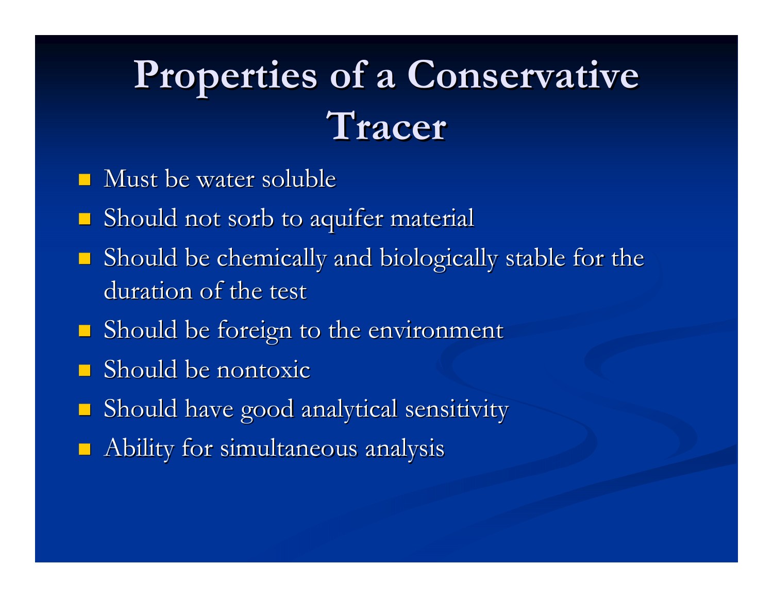# Properties of a Conservative **Tracer**

- $\blacksquare$  Must be water soluble
- $\blacksquare$  Should not sorb to aquifer material
- $\blacksquare$ Should be chemically and biologically stable for the duration of the test
- **Should be foreign to the environment**
- $\blacksquare$  Should be nontoxic
- **Should have good analytical sensitivity**
- $\blacksquare$  Ability for simultaneous analysis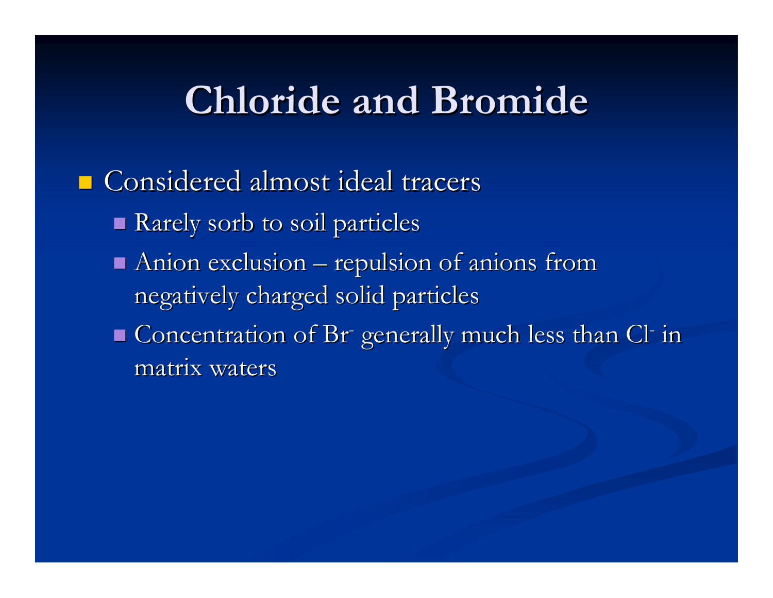## **Chloride and Bromide Chloride and Bromide**

#### $\blacksquare$  Considered almost ideal tracers

- Rarely sorb to soil particles
- $\blacksquare$  Anion exclusion  $\blacksquare$ – repulsion of anions from negatively charged solid particles
- $\blacksquare$  Concentration of Br generally much less than Cl in matrix waters matrix waters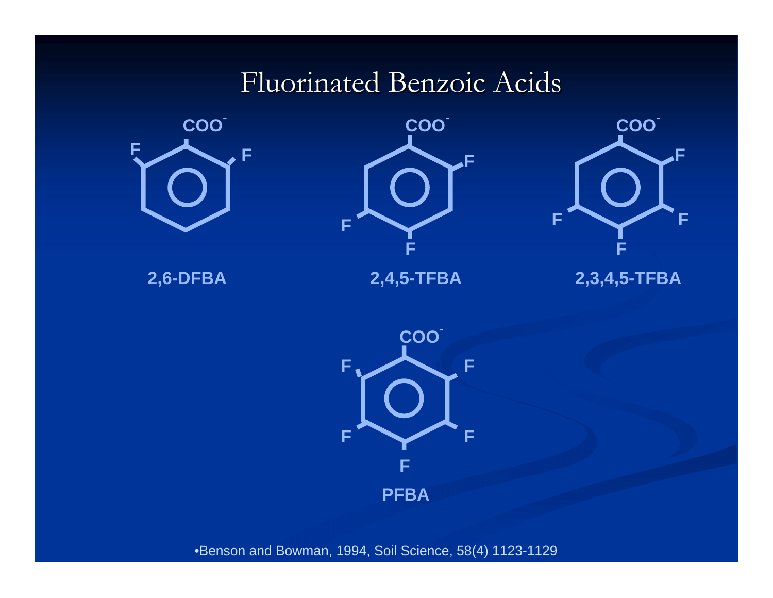### Fluorinated Benzoic Acids







**2,6-DFBA 2,4,5-TFBA 2,3,4,5-TFBA**



•Benson and Bowman, 1994, Soil Science, 58(4) 1123-1129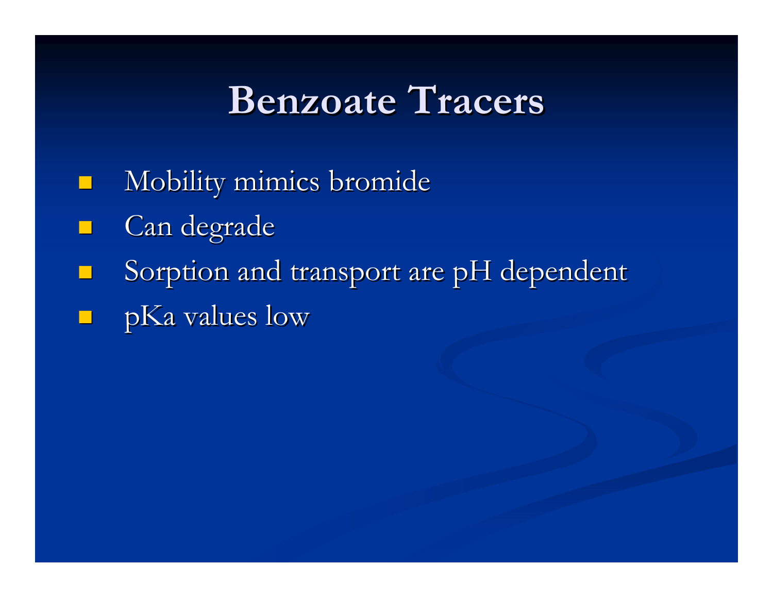## **Benzoate Tracers Benzoate Tracers**

- $\Box$ Mobility mimics bromide
- Can degrade
- Sorption and transport are pH dependent
- pKa values low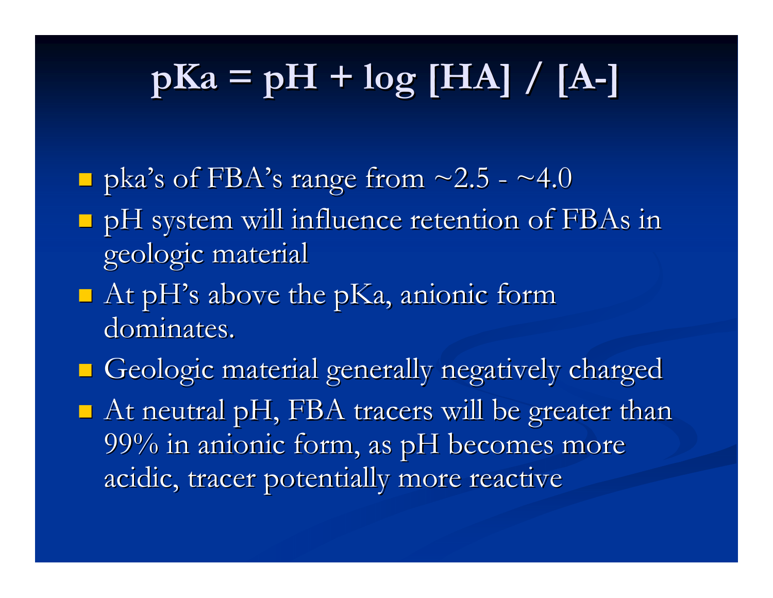# $p$ **Ka** =  $p$ **H** +  $log$  [HA] / [A-]

- $\Box$  pka's of FBA's range from ~2.5 ~4.0
- **P** pH system will influence retention of FBAs in geologic material geologic material
- $\blacksquare$  At pH's above the pKa, anionic form dominates.
- Geologic material generally negatively charged Geologic material generally negatively charged  $\blacksquare$  At neutral pH, FBA tracers will be greater than 99% in anionic form, as pH becomes more acidic, tracer potentially more reactive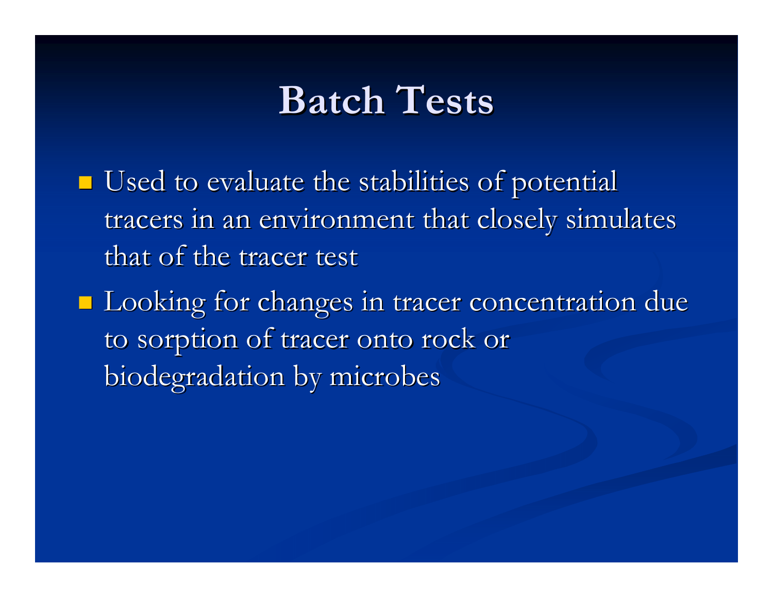## **Batch Tests Batch Tests**

- $\blacksquare$  Used to evaluate the stabilities of potential tracers in an environment that closely simulates that of the tracer test
- **Looking for changes in tracer concentration due** to sorption of tracer onto rock or biodegradation by microbes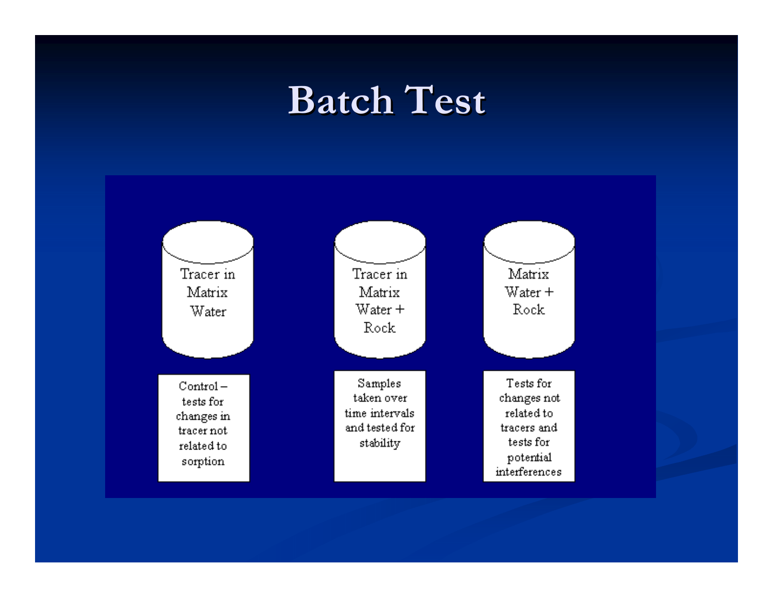### **Batch Test Batch Test**

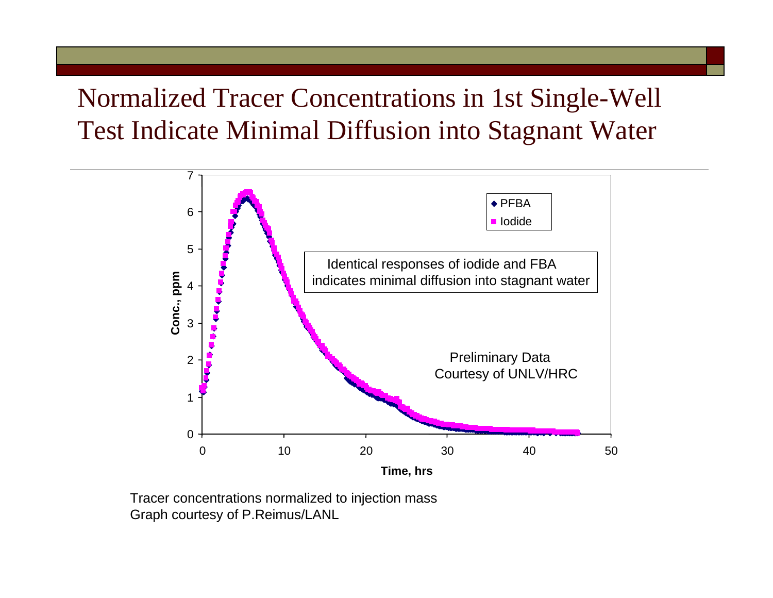#### Normalized Tracer Concentrations in 1st Single-Well Test Indicate Minimal Diffusion into Stagnant Water



Tracer concentrations normalized to injection mass Graph courtesy of P.Reimus/LANL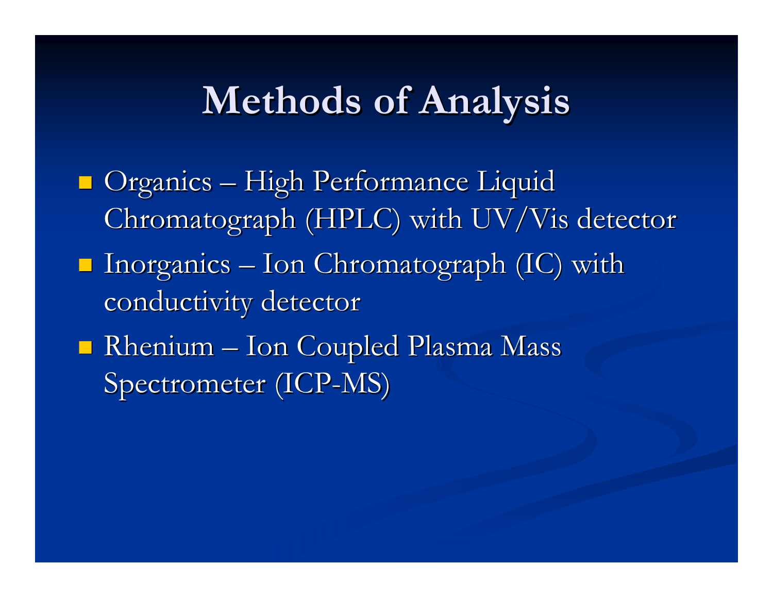# **Methods of Analysis Methods of Analysis**

 $\blacksquare$  Organics  $\cdot$  $\mathcal{L}_{\mathcal{A}}$ – High Performance Liquid Chromatograph (HPLC) with UV/Vis detector  $\blacksquare$  Inorganics – Ion Chromatograph (IC) with conductivity detector  $\blacksquare$  Rhenium  $\blacksquare$ – Ion Coupled Plasma Mass Spectrometer (ICP-MS)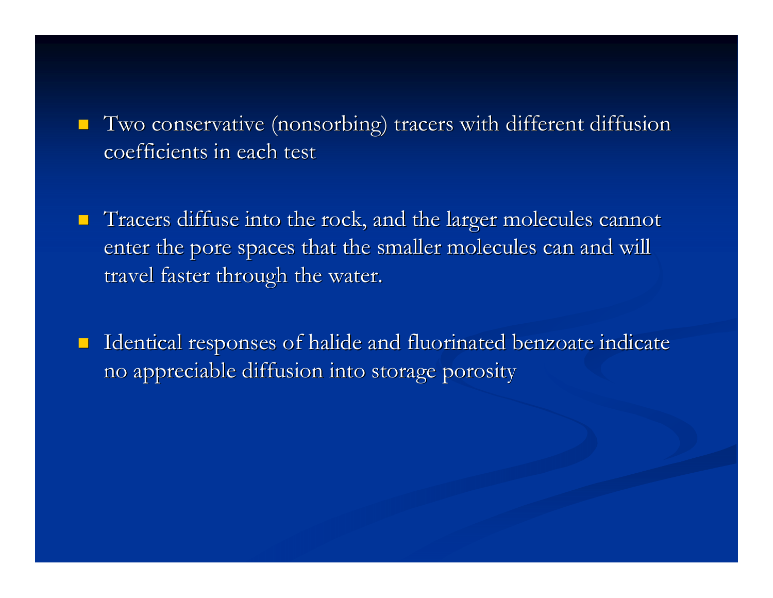- $\blacksquare$  Two conservative (nonsorbing) tracers with different diffusion coefficients in each test
- $\blacksquare$  Tracers diffuse into the rock, and the larger molecules cannot enter the pore spaces that the smaller molecules can and will travel faster through the water.
- $\blacksquare$ Identical responses of halide and fluorinated benzoate indicate no appreciable diffusion into storage porosity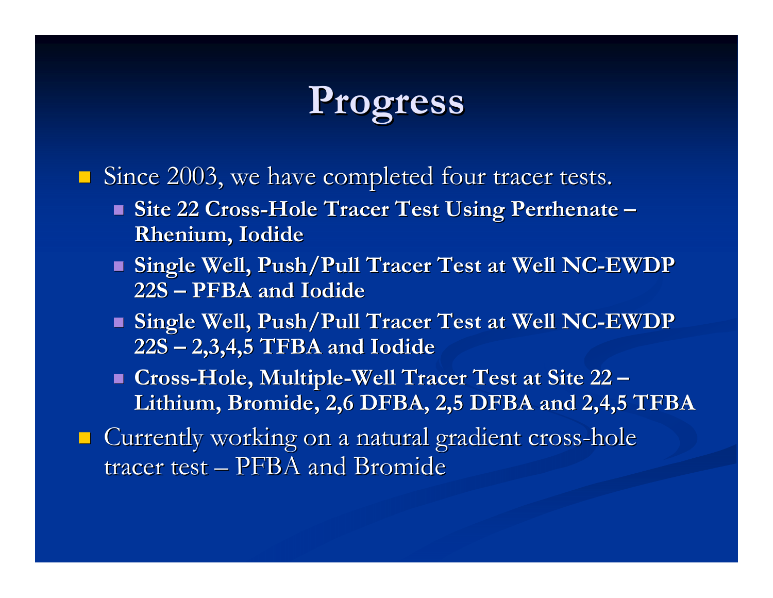# **Progress Progress**

 $\blacksquare$  Since 2003, we have completed four tracer tests.

- **Site 22 Cross Site 22 Cross-Hole Tracer Test Using Hole Tracer Test Using Perrhenate Perrhenate – Rhenium, Iodide Rhenium, Iodide**
- **Single Well, Push/Pull Tracer Test at Well NC Single Well, Push/Pull Tracer Test at Well NC-EWDP 22S – PFBA and Iodide PFBA and Iodide**
- **Single Well, Push/Pull Tracer Test at Well NC Single Well, Push/Pull Tracer Test at Well NC-EWDP 22S – 2,3,4,5 TFBA and Iodide 2,3,4,5 TFBA and Iodide**
- Cross-Hole, Multiple-Well Tracer Test at Site 22 <del>–</del> **Lithium, Bromide, 2,6 DFBA, 2,5 DFBA and 2,4,5 TFBA Lithium, Bromide, 2,6 DFBA, 2,5 DFBA and 2,4,5 TFBA**
- $\blacksquare$  Currently working on a natural gradient cross-hole tracer test  $-$  PFBA and Bromide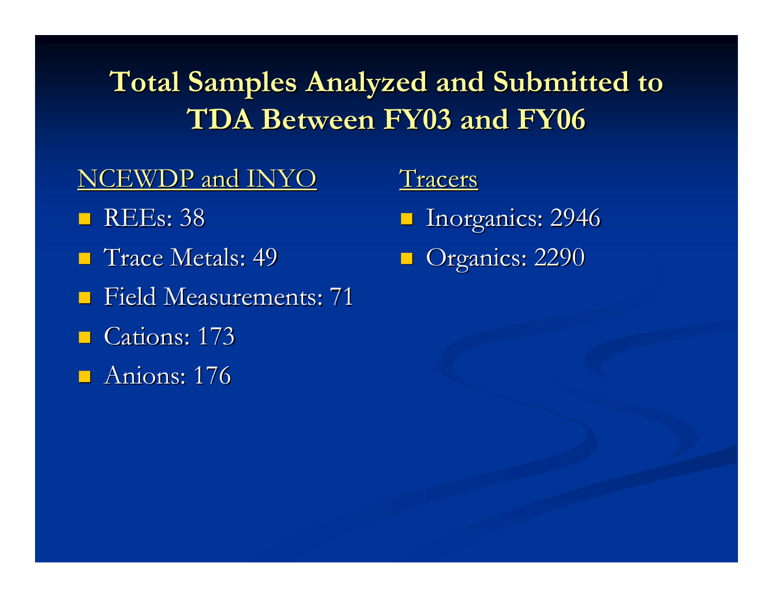### **Total Samples Analyzed and Submitted to TDA Between FY03 and FY06 TDA Between FY03 and FY06**

#### NCEWDP and INYO

- **REEs: 38**
- **Trace Metals: 49**
- **Field Measurements: 71**
- $\blacksquare$  Cations: 173
- $\blacksquare$  Anions: 176

Tracers **I** Inorganics: 2946

Organics: 2290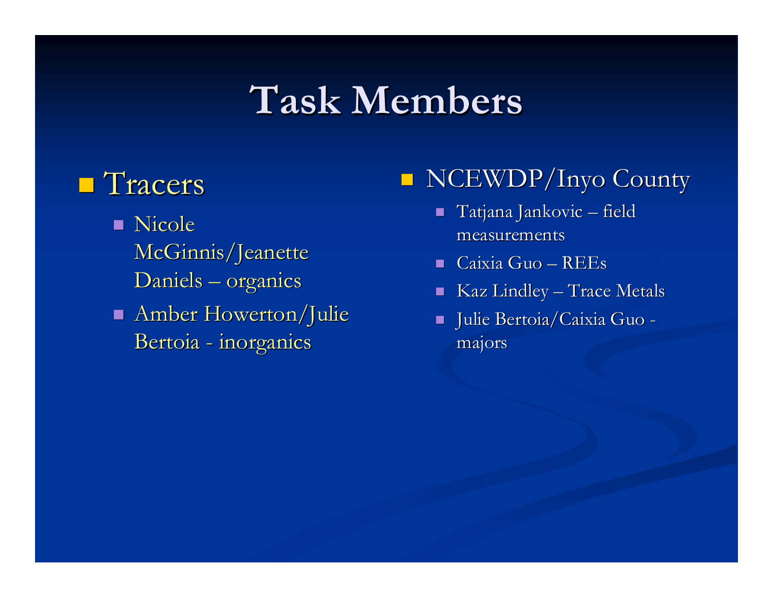## **Task Members Task Members**

#### **Tracers**

- **Nicole** McGinnis/Jeanette Daniels – – organics
- Amber Howerton/Julie Bertoia -- inorganics

#### $\blacksquare$ NCEWDP/Inyo County

- $\blacksquare$  Tatjana Jankovic  $\cdot$ – field measurements
- $\blacksquare$  Caixia Guo REEs
- $\blacksquare$  Kaz Lindley  $\blacksquare$ – Trace Metals
- $\blacksquare$  Julie Bertoia/Caixia Guo majors